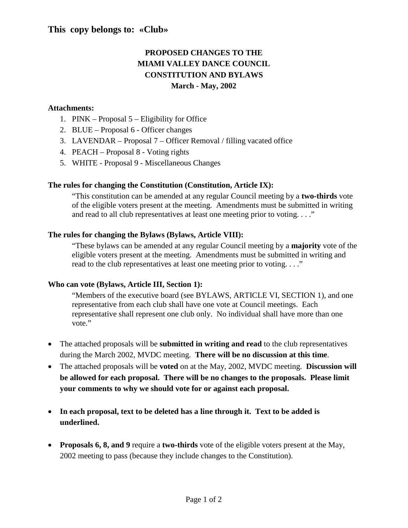### **This copy belongs to: «Club»**

## **PROPOSED CHANGES TO THE MIAMI VALLEY DANCE COUNCIL CONSTITUTION AND BYLAWS March - May, 2002**

### **Attachments:**

- 1. PINK Proposal 5 Eligibility for Office
- 2. BLUE Proposal 6 Officer changes
- 3. LAVENDAR Proposal 7 Officer Removal / filling vacated office
- 4. PEACH Proposal 8 Voting rights
- 5. WHITE Proposal 9 Miscellaneous Changes

### **The rules for changing the Constitution (Constitution, Article IX):**

"This constitution can be amended at any regular Council meeting by a **two-thirds** vote of the eligible voters present at the meeting. Amendments must be submitted in writing and read to all club representatives at least one meeting prior to voting. . . ."

### **The rules for changing the Bylaws (Bylaws, Article VIII):**

"These bylaws can be amended at any regular Council meeting by a **majority** vote of the eligible voters present at the meeting. Amendments must be submitted in writing and read to the club representatives at least one meeting prior to voting. . . ."

### **Who can vote (Bylaws, Article III, Section 1):**

"Members of the executive board (see BYLAWS, ARTICLE VI, SECTION 1), and one representative from each club shall have one vote at Council meetings. Each representative shall represent one club only. No individual shall have more than one vote."

- The attached proposals will be **submitted in writing and read** to the club representatives during the March 2002, MVDC meeting. **There will be no discussion at this time**.
- The attached proposals will be **voted** on at the May, 2002, MVDC meeting. **Discussion will be allowed for each proposal. There will be no changes to the proposals. Please limit your comments to why we should vote for or against each proposal.**
- **In each proposal, text to be deleted has a line through it. Text to be added is underlined.**
- **Proposals 6, 8, and 9** require a **two-thirds** vote of the eligible voters present at the May, 2002 meeting to pass (because they include changes to the Constitution).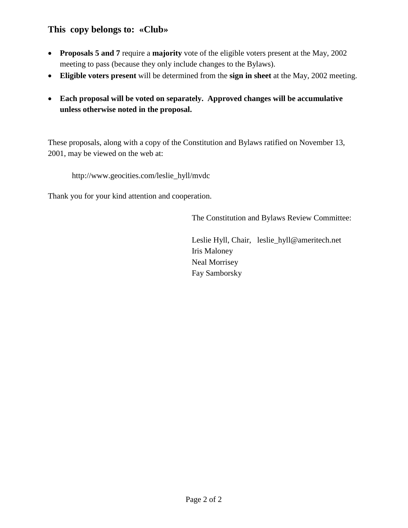## **This copy belongs to: «Club»**

- **Proposals 5 and 7** require a **majority** vote of the eligible voters present at the May, 2002 meeting to pass (because they only include changes to the Bylaws).
- **Eligible voters present** will be determined from the **sign in sheet** at the May, 2002 meeting.
- **Each proposal will be voted on separately. Approved changes will be accumulative unless otherwise noted in the proposal.**

These proposals, along with a copy of the Constitution and Bylaws ratified on November 13, 2001, may be viewed on the web at:

http://www.geocities.com/leslie\_hyll/mvdc

Thank you for your kind attention and cooperation.

The Constitution and Bylaws Review Committee:

Leslie Hyll, Chair, leslie\_hyll@ameritech.net Iris Maloney Neal Morrisey Fay Samborsky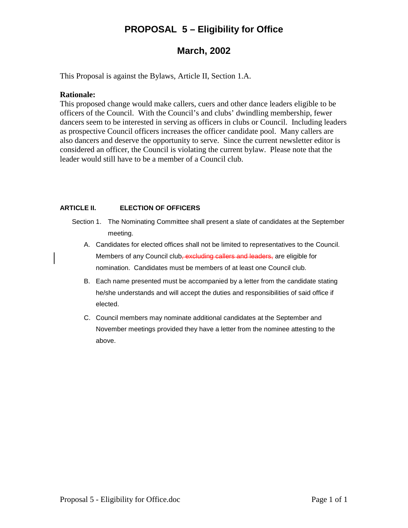# **PROPOSAL 5 – Eligibility for Office**

## **March, 2002**

This Proposal is against the Bylaws, Article II, Section 1.A.

### **Rationale:**

This proposed change would make callers, cuers and other dance leaders eligible to be officers of the Council. With the Council's and clubs' dwindling membership, fewer dancers seem to be interested in serving as officers in clubs or Council. Including leaders as prospective Council officers increases the officer candidate pool. Many callers are also dancers and deserve the opportunity to serve. Since the current newsletter editor is considered an officer, the Council is violating the current bylaw. Please note that the leader would still have to be a member of a Council club.

### **ARTICLE II. ELECTION OF OFFICERS**

- Section 1. The Nominating Committee shall present a slate of candidates at the September meeting.
	- A. Candidates for elected offices shall not be limited to representatives to the Council. Members of any Council club, excluding callers and leaders, are eligible for nomination. Candidates must be members of at least one Council club.
	- B. Each name presented must be accompanied by a letter from the candidate stating he/she understands and will accept the duties and responsibilities of said office if elected.
	- C. Council members may nominate additional candidates at the September and November meetings provided they have a letter from the nominee attesting to the above.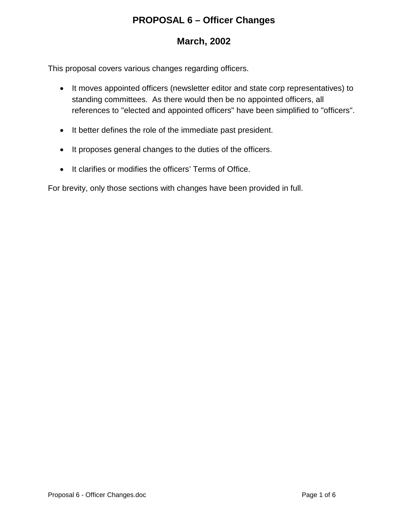# **PROPOSAL 6 – Officer Changes**

# **March, 2002**

This proposal covers various changes regarding officers.

- It moves appointed officers (newsletter editor and state corp representatives) to standing committees. As there would then be no appointed officers, all references to "elected and appointed officers" have been simplified to "officers".
- It better defines the role of the immediate past president.
- It proposes general changes to the duties of the officers.
- It clarifies or modifies the officers' Terms of Office.

For brevity, only those sections with changes have been provided in full.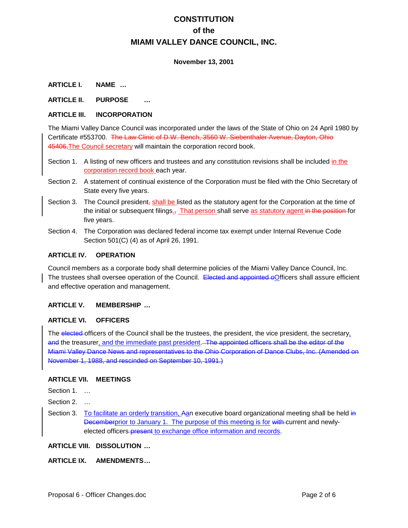### **November 13, 2001**

### **ARTICLE I. NAME …**

### **ARTICLE II. PURPOSE …**

### **ARTICLE III. INCORPORATION**

The Miami Valley Dance Council was incorporated under the laws of the State of Ohio on 24 April 1980 by Certificate #553700. The Law Clinic of D.W. Bench, 3560 W. Siebenthaler Avenue, Dayton, Ohio 45406,The Council secretary will maintain the corporation record book.

- Section 1. A listing of new officers and trustees and any constitution revisions shall be included in the corporation record book each year.
- Section 2. A statement of continual existence of the Corporation must be filed with the Ohio Secretary of State every five years.
- Section 3. The Council president<sub>r</sub> shall be listed as the statutory agent for the Corporation at the time of the initial or subsequent filings.<sub>7</sub> That person shall serve as statutory agent in the position for five years.
- Section 4. The Corporation was declared federal income tax exempt under Internal Revenue Code Section 501(C) (4) as of April 26, 1991.

### **ARTICLE IV. OPERATION**

Council members as a corporate body shall determine policies of the Miami Valley Dance Council, Inc. The trustees shall oversee operation of the Council. Elected and appointed oOfficers shall assure efficient and effective operation and management.

### **ARTICLE V. MEMBERSHIP …**

#### **ARTICLE VI. OFFICERS**

The elected-officers of the Council shall be the trustees, the president, the vice president, the secretary, and the treasurer, and the immediate past president. The appointed officers shall be the editor of the Miami Valley Dance News and representatives to the Ohio Corporation of Dance Clubs, Inc. (Amended on November 1, 1988, and rescinded on September 10, 1991.)

#### **ARTICLE VII. MEETINGS**

Section 1. …

- Section 2.
- Section 3. To facilitate an orderly transition, Aan executive board organizational meeting shall be held in Decemberprior to January 1. The purpose of this meeting is for with-current and newlyelected officers present to exchange office information and records.

#### **ARTICLE VIII. DISSOLUTION …**

### **ARTICLE IX. AMENDMENTS…**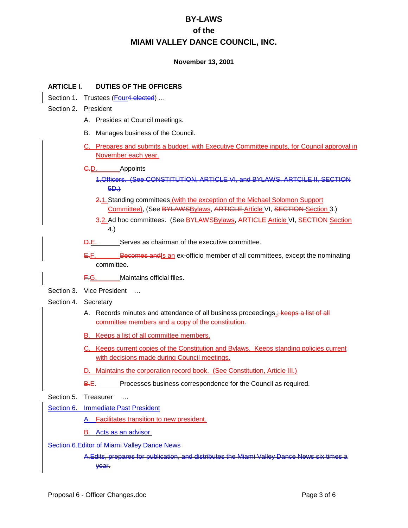### **November 13, 2001**

### **ARTICLE I. DUTIES OF THE OFFICERS**

- Section 1. Trustees (Four4 elected) ...
- Section 2. President
	- A. Presides at Council meetings.
	- B. Manages business of the Council.
	- C. Prepares and submits a budget, with Executive Committee inputs, for Council approval in November each year.

### C.D. Appoints

- 1.Officers. (See CONSTITUTION, ARTICLE VI, and BYLAWS, ARTCILE II, SECTION 5D.)
- 2.1.Standing committees (with the exception of the Michael Solomon Support Committee), (See BYLAWSBylaws, ARTICLE Article VI, SECTION Section 3.)
- 3.2. Ad hoc committees. (See BYLAWSBylaws, ARTICLE Article VI, SECTION Section 4.)
- D.E. Serves as chairman of the executive committee.
- $E.E.$  Becomes and  $E$  an ex-officio member of all committees, except the nominating committee.
- F.G. Maintains official files.
- Section 3. Vice President ...
- Section 4. Secretary
	- A. Records minutes and attendance of all business proceedings. Keeps a list of all committee members and a copy of the constitution.
	- B. Keeps a list of all committee members.
	- C. Keeps current copies of the Constitution and Bylaws. Keeps standing policies current with decisions made during Council meetings.
	- D. Maintains the corporation record book. (See Constitution, Article III.)
	- B.E. Processes business correspondence for the Council as required.
- Section 5. Treasurer ...
- **Section 6. Immediate Past President** 
	- A. Facilitates transition to new president.
	- B. Acts as an advisor.

### Section 6.Editor of Miami Valley Dance News

A.Edits, prepares for publication, and distributes the Miami Valley Dance News six times a year.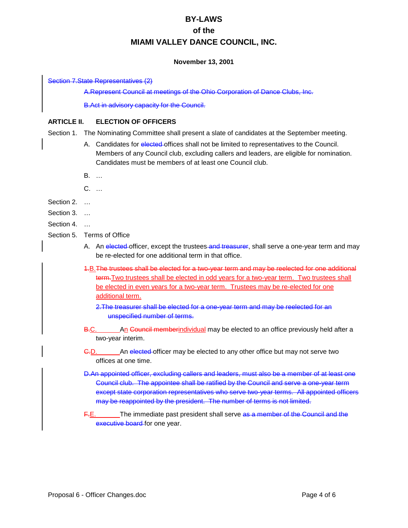### **November 13, 2001**

### Section 7.State Representatives (2)

A.Represent Council at meetings of the Ohio Corporation of Dance Clubs, Inc.

B.Act in advisory capacity for the Council.

### **ARTICLE II. ELECTION OF OFFICERS**

- Section 1. The Nominating Committee shall present a slate of candidates at the September meeting.
	- A. Candidates for elected offices shall not be limited to representatives to the Council. Members of any Council club, excluding callers and leaders, are eligible for nomination. Candidates must be members of at least one Council club.
	- B. …
	- C. …
- Section 2. …
- Section 3. …
- Section 4. …
- Section 5. Terms of Office
	- A. An elected-officer, except the trustees-and treasurer, shall serve a one-year term and may be re-elected for one additional term in that office.
	- 1.B.The trustees shall be elected for a two-year term and may be reelected for one additional term. Two trustees shall be elected in odd years for a two-year term. Two trustees shall be elected in even years for a two-year term. Trustees may be re-elected for one additional term.
		- 2.The treasurer shall be elected for a one-year term and may be reelected for an unspecified number of terms.
	- B.C. An Council memberindividual may be elected to an office previously held after a two-year interim.
	- C.D. An elected officer may be elected to any other office but may not serve two offices at one time.
	- D.An appointed officer, excluding callers and leaders, must also be a member of at least one Council club. The appointee shall be ratified by the Council and serve a one-year term except state corporation representatives who serve two-year terms. All appointed officers may be reappointed by the president. The number of terms is not limited.
	- F.E. The immediate past president shall serve as a member of the Council and the executive board for one year.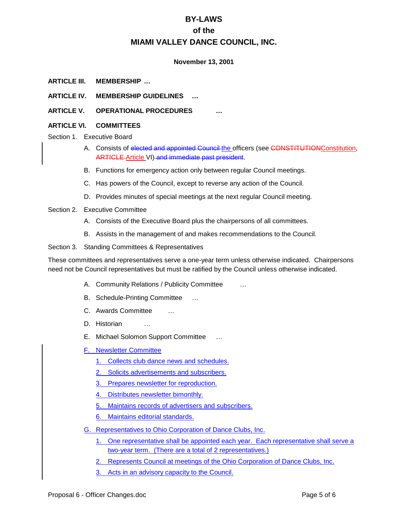### **November 13, 2001**

- **ARTICLE III. MEMBERSHIP …**
- **ARTICLE IV. MEMBERSHIP GUIDELINES …**
- **ARTICLE V. OPERATIONAL PROCEDURES …**
- **ARTICLE VI. COMMITTEES**
- Section 1. Executive Board
	- A. Consists of elected and appointed Council the officers (see CONSTITUTIONConstitution, ARTICLE-Article VI)-and immediate past president.
	- B. Functions for emergency action only between regular Council meetings.
	- C. Has powers of the Council, except to reverse any action of the Council.
	- D. Provides minutes of special meetings at the next regular Council meeting.
- Section 2. Executive Committee
	- A. Consists of the Executive Board plus the chairpersons of all committees.
	- B. Assists in the management of and makes recommendations to the Council.

Section 3. Standing Committees & Representatives

These committees and representatives serve a one-year term unless otherwise indicated. Chairpersons need not be Council representatives but must be ratified by the Council unless otherwise indicated.

- A. Community Relations / Publicity Committee …
- B. Schedule-Printing Committee …
- C. Awards Committee …
- D. Historian …
- E. Michael Solomon Support Committee …
- F. Newsletter Committee
	- 1. Collects club dance news and schedules.
	- 2. Solicits advertisements and subscribers.
	- 3. Prepares newsletter for reproduction.
	- 4. Distributes newsletter bimonthly.
	- 5. Maintains records of advertisers and subscribers.
	- 6. Maintains editorial standards.
- G. Representatives to Ohio Corporation of Dance Clubs, Inc.
	- 1. One representative shall be appointed each year. Each representative shall serve a two-year term. (There are a total of 2 representatives.)
	- 2. Represents Council at meetings of the Ohio Corporation of Dance Clubs, Inc.
	- 3. Acts in an advisory capacity to the Council.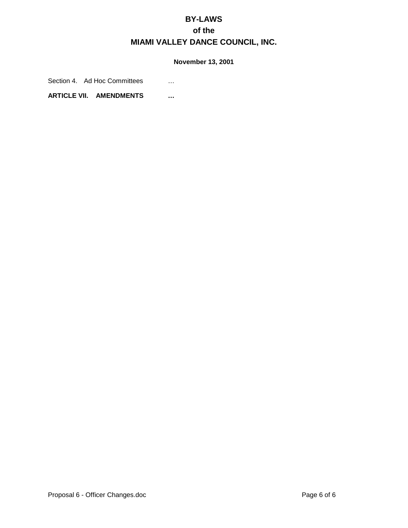### **November 13, 2001**

Section 4. Ad Hoc Committees ...

**ARTICLE VII. AMENDMENTS …**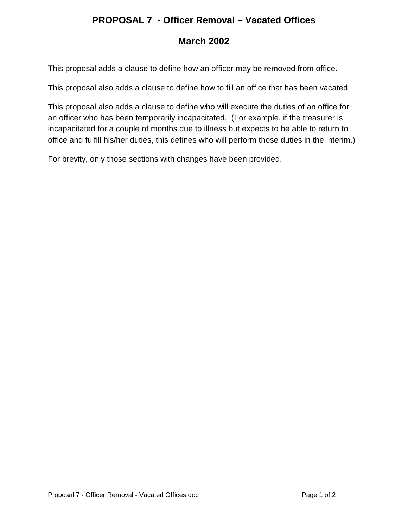## **PROPOSAL 7 - Officer Removal – Vacated Offices**

# **March 2002**

This proposal adds a clause to define how an officer may be removed from office.

This proposal also adds a clause to define how to fill an office that has been vacated.

This proposal also adds a clause to define who will execute the duties of an office for an officer who has been temporarily incapacitated. (For example, if the treasurer is incapacitated for a couple of months due to illness but expects to be able to return to office and fulfill his/her duties, this defines who will perform those duties in the interim.)

For brevity, only those sections with changes have been provided.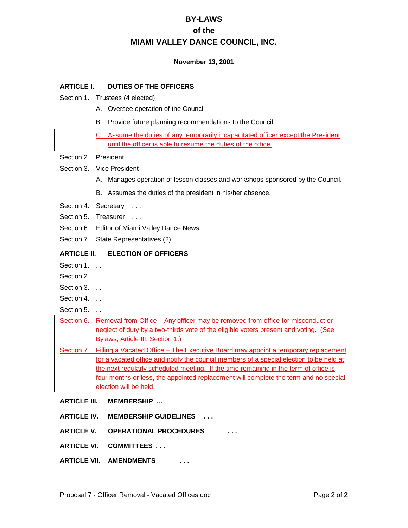### **November 13, 2001**

### **ARTICLE I. DUTIES OF THE OFFICERS**

- Section 1. Trustees (4 elected)
	- A. Oversee operation of the Council
	- B. Provide future planning recommendations to the Council.
	- C. Assume the duties of any temporarily incapacitated officer except the President until the officer is able to resume the duties of the office.
- Section 2. President ...
- Section 3. Vice President
	- A. Manages operation of lesson classes and workshops sponsored by the Council.
	- B. Assumes the duties of the president in his/her absence.
- Section 4. Secretary ...
- Section 5. Treasurer ...
- Section 6. Editor of Miami Valley Dance News . . .
- Section 7. State Representatives (2) . . .

### **ARTICLE II. ELECTION OF OFFICERS**

- Section 1. . . . .
- Section 2. . . . .
- Section 3. . . . .
- Section 4. . . .
- Section 5. . . .
- Section 6. Removal from Office Any officer may be removed from office for misconduct or neglect of duty by a two-thirds vote of the eligible voters present and voting. (See Bylaws, Article III, Section 1.)
- Section 7. Filling a Vacated Office The Executive Board may appoint a temporary replacement for a vacated office and notify the council members of a special election to be held at the next regularly scheduled meeting. If the time remaining in the term of office is four months or less, the appointed replacement will complete the term and no special election will be held.
- **ARTICLE III. MEMBERSHIP …**
- **ARTICLE IV. MEMBERSHIP GUIDELINES . . .**
- **ARTICLE V. OPERATIONAL PROCEDURES . . .**
- **ARTICLE VI. COMMITTEES . . .**
- **ARTICLE VII. AMENDMENTS . . .**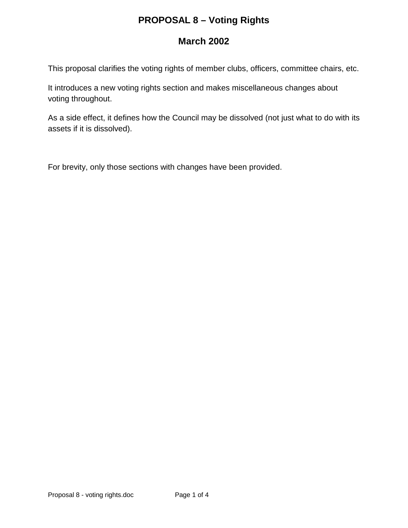# **PROPOSAL 8 – Voting Rights**

# **March 2002**

This proposal clarifies the voting rights of member clubs, officers, committee chairs, etc.

It introduces a new voting rights section and makes miscellaneous changes about voting throughout.

As a side effect, it defines how the Council may be dissolved (not just what to do with its assets if it is dissolved).

For brevity, only those sections with changes have been provided.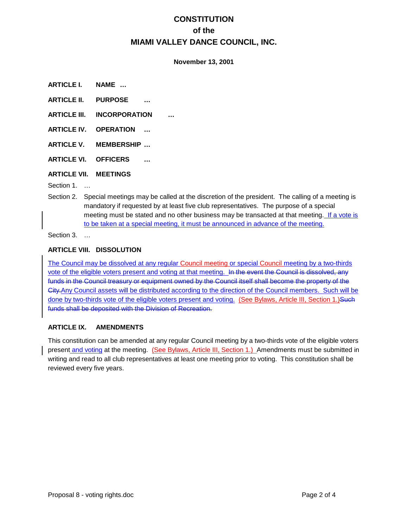### **November 13, 2001**

- **ARTICLE I. NAME …**
- **ARTICLE II. PURPOSE …**
- **ARTICLE III. INCORPORATION …**
- **ARTICLE IV. OPERATION …**
- **ARTICLE V. MEMBERSHIP …**
- **ARTICLE VI. OFFICERS …**

### **ARTICLE VII. MEETINGS**

Section 1. …

Section 2. Special meetings may be called at the discretion of the president. The calling of a meeting is mandatory if requested by at least five club representatives. The purpose of a special meeting must be stated and no other business may be transacted at that meeting. If a vote is to be taken at a special meeting, it must be announced in advance of the meeting.

Section 3. …

### **ARTICLE VIII. DISSOLUTION**

The Council may be dissolved at any regular Council meeting or special Council meeting by a two-thirds vote of the eligible voters present and voting at that meeting. In the event the Council is dissolved, any funds in the Council treasury or equipment owned by the Council itself shall become the property of the City.Any Council assets will be distributed according to the direction of the Council members. Such will be done by two-thirds vote of the eligible voters present and voting. (See Bylaws, Article III, Section 1.)Such funds shall be deposited with the Division of Recreation.

### **ARTICLE IX. AMENDMENTS**

This constitution can be amended at any regular Council meeting by a two-thirds vote of the eligible voters present and voting at the meeting. (See Bylaws, Article III, Section 1.) Amendments must be submitted in writing and read to all club representatives at least one meeting prior to voting. This constitution shall be reviewed every five years.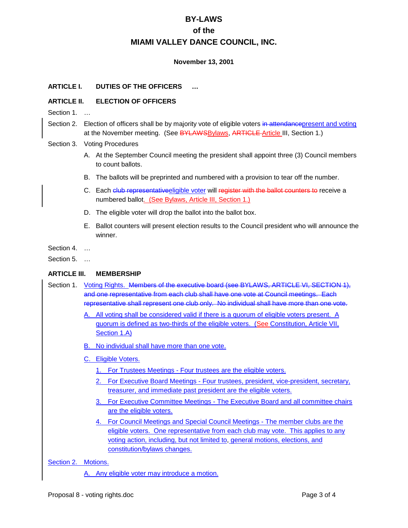### **November 13, 2001**

### **ARTICLE I. DUTIES OF THE OFFICERS …**

### **ARTICLE II. ELECTION OF OFFICERS**

- Section 1. …
- Section 2. Election of officers shall be by majority vote of eligible voters in attendance present and voting at the November meeting. (See BYLAWSBylaws, ARTICLE Article III, Section 1.)

#### Section 3. Voting Procedures

- A. At the September Council meeting the president shall appoint three (3) Council members to count ballots.
- B. The ballots will be preprinted and numbered with a provision to tear off the number.
- C. Each club representativeeligible voter will register with the ballot counters to receive a numbered ballot. (See Bylaws, Article III, Section 1.)
- D. The eligible voter will drop the ballot into the ballot box.
- E. Ballot counters will present election results to the Council president who will announce the winner.
- Section 4. …

Section 5. …

#### **ARTICLE III. MEMBERSHIP**

- Section 1. Voting Rights. Members of the executive board (see BYLAWS, ARTICLE VI, SECTION 1), and one representative from each club shall have one vote at Council meetings. Each representative shall represent one club only. No individual shall have more than one vote.
	- A. All voting shall be considered valid if there is a quorum of eligible voters present. A quorum is defined as two-thirds of the eligible voters. (See Constitution, Article VII, Section 1.A)
	- B. No individual shall have more than one vote.
	- C. Eligible Voters.
		- 1. For Trustees Meetings Four trustees are the eligible voters.
		- 2. For Executive Board Meetings Four trustees, president, vice-president, secretary, treasurer, and immediate past president are the eligible voters.
		- 3. For Executive Committee Meetings The Executive Board and all committee chairs are the eligible voters.
		- 4. For Council Meetings and Special Council Meetings The member clubs are the eligible voters. One representative from each club may vote. This applies to any voting action, including, but not limited to, general motions, elections, and constitution/bylaws changes.

Section 2. Motions.

A. Any eligible voter may introduce a motion.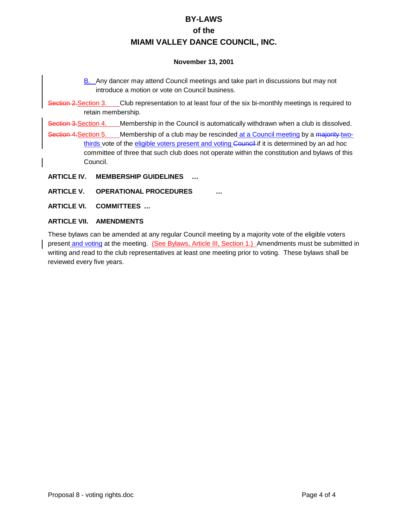### **November 13, 2001**

- B. Any dancer may attend Council meetings and take part in discussions but may not introduce a motion or vote on Council business.
- Section 2. Section 3. Club representation to at least four of the six bi-monthly meetings is required to retain membership.

Section 3. Section 4. Membership in the Council is automatically withdrawn when a club is dissolved.

Section 4. Section 5. Membership of a club may be rescinded at a Council meeting by a majority twothirds vote of the eligible voters present and voting Council if it is determined by an ad hoc committee of three that such club does not operate within the constitution and bylaws of this Council.

- **ARTICLE IV. MEMBERSHIP GUIDELINES …**
- **ARTICLE V. OPERATIONAL PROCEDURES …**
- **ARTICLE VI. COMMITTEES …**
- **ARTICLE VII. AMENDMENTS**

These bylaws can be amended at any regular Council meeting by a majority vote of the eligible voters present and voting at the meeting. (See Bylaws, Article III, Section 1.) Amendments must be submitted in writing and read to the club representatives at least one meeting prior to voting. These bylaws shall be reviewed every five years.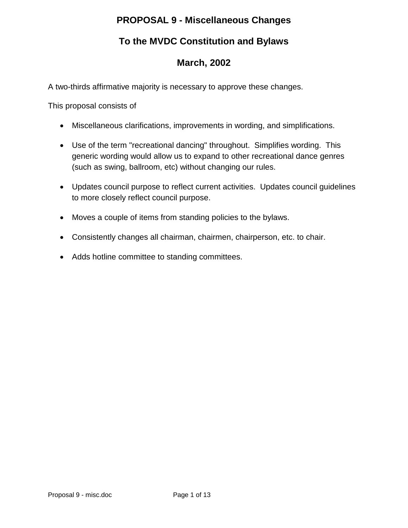## **PROPOSAL 9 - Miscellaneous Changes**

# **To the MVDC Constitution and Bylaws**

# **March, 2002**

A two-thirds affirmative majority is necessary to approve these changes.

This proposal consists of

- Miscellaneous clarifications, improvements in wording, and simplifications.
- Use of the term "recreational dancing" throughout. Simplifies wording. This generic wording would allow us to expand to other recreational dance genres (such as swing, ballroom, etc) without changing our rules.
- Updates council purpose to reflect current activities. Updates council guidelines to more closely reflect council purpose.
- Moves a couple of items from standing policies to the bylaws.
- Consistently changes all chairman, chairmen, chairperson, etc. to chair.
- Adds hotline committee to standing committees.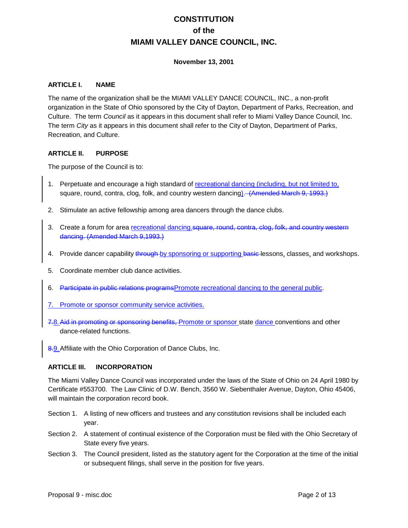### **November 13, 2001**

### **ARTICLE I. NAME**

The name of the organization shall be the MIAMI VALLEY DANCE COUNCIL, INC., a non-profit organization in the State of Ohio sponsored by the City of Dayton, Department of Parks, Recreation, and Culture. The term *Council* as it appears in this document shall refer to Miami Valley Dance Council, Inc. The term *City* as it appears in this document shall refer to the City of Dayton, Department of Parks, Recreation, and Culture.

### **ARTICLE II. PURPOSE**

The purpose of the Council is to:

- 1. Perpetuate and encourage a high standard of recreational dancing (including, but not limited to, square, round, contra, clog, folk, and country western dancing). (Amended March 9, 1993.)
- 2. Stimulate an active fellowship among area dancers through the dance clubs.
- 3. Create a forum for area recreational dancing. square, round, contra, clog, folk, and country western dancing. (Amended March 9,1993.)
- 4. Provide dancer capability through by sponsoring or supporting basic-lessons, classes, and workshops.
- 5. Coordinate member club dance activities.
- 6. Participate in public relations programsPromote recreational dancing to the general public.
- 7. Promote or sponsor community service activities.
- 7.8. Aid in promoting or sponsoring benefits, Promote or sponsor state dance conventions and other dance-related functions.
- 8.9. Affiliate with the Ohio Corporation of Dance Clubs, Inc.

#### **ARTICLE III. INCORPORATION**

The Miami Valley Dance Council was incorporated under the laws of the State of Ohio on 24 April 1980 by Certificate #553700. The Law Clinic of D.W. Bench, 3560 W. Siebenthaler Avenue, Dayton, Ohio 45406, will maintain the corporation record book.

- Section 1. A listing of new officers and trustees and any constitution revisions shall be included each year.
- Section 2. A statement of continual existence of the Corporation must be filed with the Ohio Secretary of State every five years.
- Section 3. The Council president, listed as the statutory agent for the Corporation at the time of the initial or subsequent filings, shall serve in the position for five years.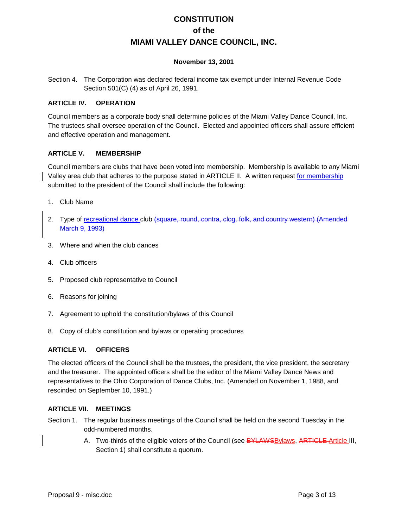### **November 13, 2001**

Section 4. The Corporation was declared federal income tax exempt under Internal Revenue Code Section 501(C) (4) as of April 26, 1991.

### **ARTICLE IV. OPERATION**

Council members as a corporate body shall determine policies of the Miami Valley Dance Council, Inc. The trustees shall oversee operation of the Council. Elected and appointed officers shall assure efficient and effective operation and management.

### **ARTICLE V. MEMBERSHIP**

Council members are clubs that have been voted into membership. Membership is available to any Miami Valley area club that adheres to the purpose stated in ARTICLE II. A written request for membership submitted to the president of the Council shall include the following:

- 1. Club Name
- 2. Type of recreational dance club (square, round, contra, clog, folk, and country western) (Amended March 9, 1993)
- 3. Where and when the club dances
- 4. Club officers
- 5. Proposed club representative to Council
- 6. Reasons for joining
- 7. Agreement to uphold the constitution/bylaws of this Council
- 8. Copy of club's constitution and bylaws or operating procedures

### **ARTICLE VI. OFFICERS**

The elected officers of the Council shall be the trustees, the president, the vice president, the secretary and the treasurer. The appointed officers shall be the editor of the Miami Valley Dance News and representatives to the Ohio Corporation of Dance Clubs, Inc. (Amended on November 1, 1988, and rescinded on September 10, 1991.)

### **ARTICLE VII. MEETINGS**

- Section 1. The regular business meetings of the Council shall be held on the second Tuesday in the odd-numbered months.
	- A. Two-thirds of the eligible voters of the Council (see BYLAWSBylaws, ARTICLE Article III, Section 1) shall constitute a quorum.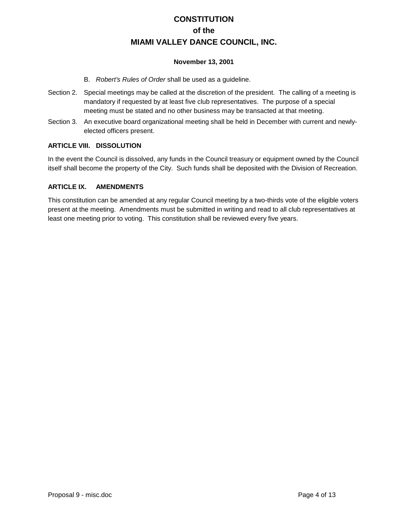### **November 13, 2001**

- B. *Robert's Rules of Order* shall be used as a guideline.
- Section 2. Special meetings may be called at the discretion of the president. The calling of a meeting is mandatory if requested by at least five club representatives. The purpose of a special meeting must be stated and no other business may be transacted at that meeting.
- Section 3. An executive board organizational meeting shall be held in December with current and newlyelected officers present.

### **ARTICLE VIII. DISSOLUTION**

In the event the Council is dissolved, any funds in the Council treasury or equipment owned by the Council itself shall become the property of the City. Such funds shall be deposited with the Division of Recreation.

### **ARTICLE IX. AMENDMENTS**

This constitution can be amended at any regular Council meeting by a two-thirds vote of the eligible voters present at the meeting. Amendments must be submitted in writing and read to all club representatives at least one meeting prior to voting. This constitution shall be reviewed every five years.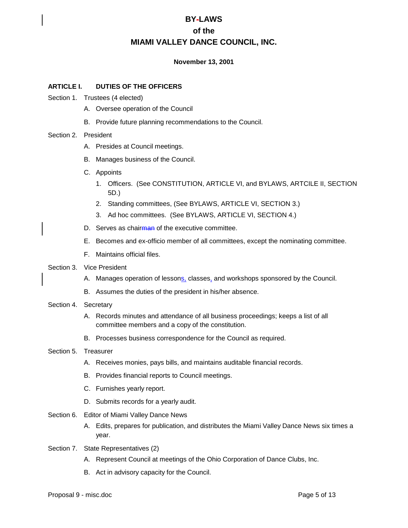### **November 13, 2001**

### **ARTICLE I. DUTIES OF THE OFFICERS**

- Section 1. Trustees (4 elected)
	- A. Oversee operation of the Council
	- B. Provide future planning recommendations to the Council.

#### Section 2. President

- A. Presides at Council meetings.
- B. Manages business of the Council.
- C. Appoints
	- 1. Officers. (See CONSTITUTION, ARTICLE VI, and BYLAWS, ARTCILE II, SECTION 5D.)
	- 2. Standing committees, (See BYLAWS, ARTICLE VI, SECTION 3.)
	- 3. Ad hoc committees. (See BYLAWS, ARTICLE VI, SECTION 4.)
- D. Serves as chairman of the executive committee.
- E. Becomes and ex-officio member of all committees, except the nominating committee.
- F. Maintains official files.
- Section 3. Vice President
	- A. Manages operation of lessons, classes, and workshops sponsored by the Council.
	- B. Assumes the duties of the president in his/her absence.
- Section 4. Secretary
	- A. Records minutes and attendance of all business proceedings; keeps a list of all committee members and a copy of the constitution.
	- B. Processes business correspondence for the Council as required.
- Section 5. Treasurer
	- A. Receives monies, pays bills, and maintains auditable financial records.
	- B. Provides financial reports to Council meetings.
	- C. Furnishes yearly report.
	- D. Submits records for a yearly audit.
- Section 6. Editor of Miami Valley Dance News
	- A. Edits, prepares for publication, and distributes the Miami Valley Dance News six times a year.
- Section 7. State Representatives (2)
	- A. Represent Council at meetings of the Ohio Corporation of Dance Clubs, Inc.
	- B. Act in advisory capacity for the Council.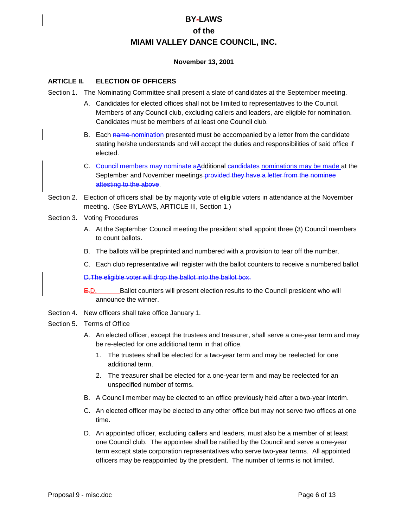### **November 13, 2001**

### **ARTICLE II. ELECTION OF OFFICERS**

- Section 1. The Nominating Committee shall present a slate of candidates at the September meeting.
	- A. Candidates for elected offices shall not be limited to representatives to the Council. Members of any Council club, excluding callers and leaders, are eligible for nomination. Candidates must be members of at least one Council club.
	- B. Each name nomination presented must be accompanied by a letter from the candidate stating he/she understands and will accept the duties and responsibilities of said office if elected.
	- C. Council members may nominate aAdditional candidates nominations may be made at the September and November meetings-provided they have a letter from the nominee attesting to the above.
- Section 2. Election of officers shall be by majority vote of eligible voters in attendance at the November meeting. (See BYLAWS, ARTICLE III, Section 1.)
- Section 3. Voting Procedures
	- A. At the September Council meeting the president shall appoint three (3) Council members to count ballots.
	- B. The ballots will be preprinted and numbered with a provision to tear off the number.
	- C. Each club representative will register with the ballot counters to receive a numbered ballot

D.The eligible voter will drop the ballot into the ballot box.

 $E$ . Ballot counters will present election results to the Council president who will announce the winner.

Section 4. New officers shall take office January 1.

#### Section 5. Terms of Office

- A. An elected officer, except the trustees and treasurer, shall serve a one-year term and may be re-elected for one additional term in that office.
	- 1. The trustees shall be elected for a two-year term and may be reelected for one additional term.
	- 2. The treasurer shall be elected for a one-year term and may be reelected for an unspecified number of terms.
- B. A Council member may be elected to an office previously held after a two-year interim.
- C. An elected officer may be elected to any other office but may not serve two offices at one time.
- D. An appointed officer, excluding callers and leaders, must also be a member of at least one Council club. The appointee shall be ratified by the Council and serve a one-year term except state corporation representatives who serve two-year terms. All appointed officers may be reappointed by the president. The number of terms is not limited.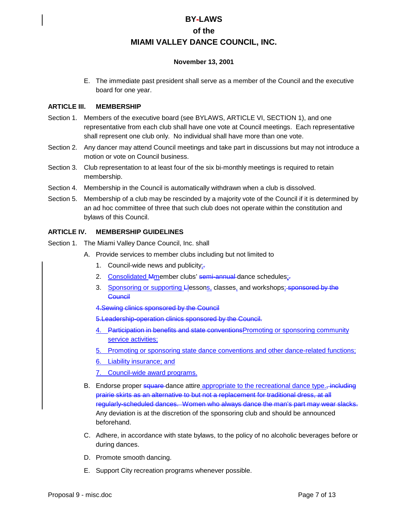### **November 13, 2001**

E. The immediate past president shall serve as a member of the Council and the executive board for one year.

### **ARTICLE III. MEMBERSHIP**

- Section 1. Members of the executive board (see BYLAWS, ARTICLE VI, SECTION 1), and one representative from each club shall have one vote at Council meetings. Each representative shall represent one club only. No individual shall have more than one vote.
- Section 2. Any dancer may attend Council meetings and take part in discussions but may not introduce a motion or vote on Council business.
- Section 3. Club representation to at least four of the six bi-monthly meetings is required to retain membership.
- Section 4. Membership in the Council is automatically withdrawn when a club is dissolved.
- Section 5. Membership of a club may be rescinded by a majority vote of the Council if it is determined by an ad hoc committee of three that such club does not operate within the constitution and bylaws of this Council.

### **ARTICLE IV. MEMBERSHIP GUIDELINES**

- Section 1. The Miami Valley Dance Council, Inc. shall
	- A. Provide services to member clubs including but not limited to
		- 1. Council-wide news and publicity; $\frac{1}{2}$
		- 2. Consolidated Mmember clubs' semi-annual dance schedules;-
		- 3. Sponsoring or supporting Llessons, classes, and workshops; sponsored by the **Council**
		- 4.Sewing clinics sponsored by the Council
		- 5.Leadership-operation clinics sponsored by the Council.
		- 4. Participation in benefits and state conventions Promoting or sponsoring community service activities;
		- 5. Promoting or sponsoring state dance conventions and other dance-related functions;
		- 6. Liability insurance; and
		- 7. Council-wide award programs.
	- B. Endorse proper square-dance attire appropriate to the recreational dance type. including prairie skirts as an alternative to but not a replacement for traditional dress, at all regularly-scheduled dances. Women who always dance the man's part may wear slacks. Any deviation is at the discretion of the sponsoring club and should be announced beforehand.
	- C. Adhere, in accordance with state bylaws, to the policy of no alcoholic beverages before or during dances.
	- D. Promote smooth dancing.
	- E. Support City recreation programs whenever possible.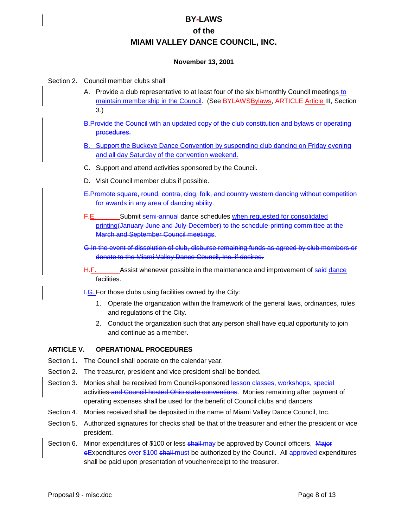### **November 13, 2001**

### Section 2. Council member clubs shall

A. Provide a club representative to at least four of the six bi-monthly Council meetings to maintain membership in the Council. (See BYLAWSBylaws, ARTICLE Article III, Section 3.)

B.Provide the Council with an updated copy of the club constitution and bylaws or operating procedures.

- B. Support the Buckeye Dance Convention by suspending club dancing on Friday evening and all day Saturday of the convention weekend.
- C. Support and attend activities sponsored by the Council.
- D. Visit Council member clubs if possible.
- E.Promote square, round, contra, clog, folk, and country western dancing without competition for awards in any area of dancing ability.
- F.E. Submit semi-annual dance schedules when requested for consolidated printing(January-June and July-December) to the schedule-printing committee at the March and September Council meetings.
- G.In the event of dissolution of club, disburse remaining funds as agreed by club members or donate to the Miami Valley Dance Council, Inc. if desired.
- H.F. Assist whenever possible in the maintenance and improvement of said-dance facilities.
- **I.G.** For those clubs using facilities owned by the City:
	- 1. Operate the organization within the framework of the general laws, ordinances, rules and regulations of the City.
	- 2. Conduct the organization such that any person shall have equal opportunity to join and continue as a member.

### **ARTICLE V. OPERATIONAL PROCEDURES**

- Section 1. The Council shall operate on the calendar year.
- Section 2. The treasurer, president and vice president shall be bonded.
- Section 3. Monies shall be received from Council-sponsored lesson classes, workshops, special activities and Council-hosted Ohio state conventions. Monies remaining after payment of operating expenses shall be used for the benefit of Council clubs and dancers.
- Section 4. Monies received shall be deposited in the name of Miami Valley Dance Council, Inc.
- Section 5. Authorized signatures for checks shall be that of the treasurer and either the president or vice president.
- Section 6. Minor expenditures of \$100 or less shall may be approved by Council officers. Major eExpenditures over \$100 shall-must be authorized by the Council. All approved expenditures shall be paid upon presentation of voucher/receipt to the treasurer.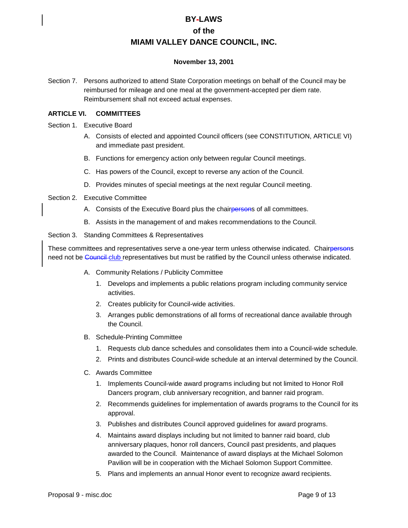### **November 13, 2001**

Section 7. Persons authorized to attend State Corporation meetings on behalf of the Council may be reimbursed for mileage and one meal at the government-accepted per diem rate. Reimbursement shall not exceed actual expenses.

### **ARTICLE VI. COMMITTEES**

- Section 1. Executive Board
	- A. Consists of elected and appointed Council officers (see CONSTITUTION, ARTICLE VI) and immediate past president.
	- B. Functions for emergency action only between regular Council meetings.
	- C. Has powers of the Council, except to reverse any action of the Council.
	- D. Provides minutes of special meetings at the next regular Council meeting.
- Section 2. Executive Committee
	- A. Consists of the Executive Board plus the chairpersons of all committees.
	- B. Assists in the management of and makes recommendations to the Council.

#### Section 3. Standing Committees & Representatives

These committees and representatives serve a one-year term unless otherwise indicated. Chairpersons need not be Council club representatives but must be ratified by the Council unless otherwise indicated.

- A. Community Relations / Publicity Committee
	- 1. Develops and implements a public relations program including community service activities.
	- 2. Creates publicity for Council-wide activities.
	- 3. Arranges public demonstrations of all forms of recreational dance available through the Council.
- B. Schedule-Printing Committee
	- 1. Requests club dance schedules and consolidates them into a Council-wide schedule.
	- 2. Prints and distributes Council-wide schedule at an interval determined by the Council.
- C. Awards Committee
	- 1. Implements Council-wide award programs including but not limited to Honor Roll Dancers program, club anniversary recognition, and banner raid program.
	- 2. Recommends guidelines for implementation of awards programs to the Council for its approval.
	- 3. Publishes and distributes Council approved guidelines for award programs.
	- 4. Maintains award displays including but not limited to banner raid board, club anniversary plaques, honor roll dancers, Council past presidents, and plaques awarded to the Council. Maintenance of award displays at the Michael Solomon Pavilion will be in cooperation with the Michael Solomon Support Committee.
	- 5. Plans and implements an annual Honor event to recognize award recipients.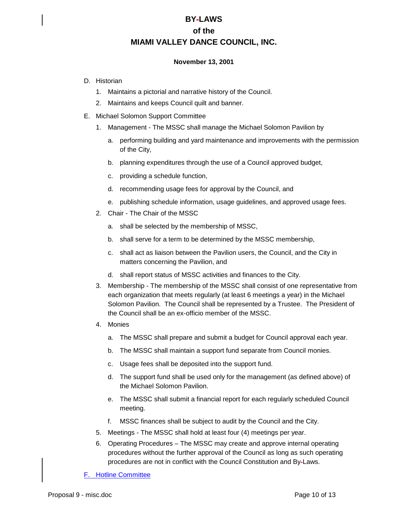### **November 13, 2001**

- D. Historian
	- 1. Maintains a pictorial and narrative history of the Council.
	- 2. Maintains and keeps Council quilt and banner.
- E. Michael Solomon Support Committee
	- 1. Management The MSSC shall manage the Michael Solomon Pavilion by
		- a. performing building and yard maintenance and improvements with the permission of the City,
		- b. planning expenditures through the use of a Council approved budget,
		- c. providing a schedule function,
		- d. recommending usage fees for approval by the Council, and
		- e. publishing schedule information, usage guidelines, and approved usage fees.
	- 2. Chair The Chair of the MSSC
		- a. shall be selected by the membership of MSSC,
		- b. shall serve for a term to be determined by the MSSC membership,
		- c. shall act as liaison between the Pavilion users, the Council, and the City in matters concerning the Pavilion, and
		- d. shall report status of MSSC activities and finances to the City.
	- 3. Membership The membership of the MSSC shall consist of one representative from each organization that meets regularly (at least 6 meetings a year) in the Michael Solomon Pavilion. The Council shall be represented by a Trustee. The President of the Council shall be an ex-officio member of the MSSC.
	- 4. Monies
		- a. The MSSC shall prepare and submit a budget for Council approval each year.
		- b. The MSSC shall maintain a support fund separate from Council monies.
		- c. Usage fees shall be deposited into the support fund.
		- d. The support fund shall be used only for the management (as defined above) of the Michael Solomon Pavilion.
		- e. The MSSC shall submit a financial report for each regularly scheduled Council meeting.
		- f. MSSC finances shall be subject to audit by the Council and the City.
	- 5. Meetings The MSSC shall hold at least four (4) meetings per year.
	- 6. Operating Procedures The MSSC may create and approve internal operating procedures without the further approval of the Council as long as such operating procedures are not in conflict with the Council Constitution and By-Laws.

F. Hotline Committee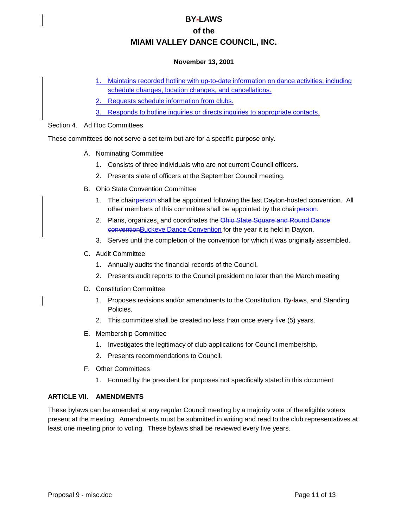### **November 13, 2001**

- 1. Maintains recorded hotline with up-to-date information on dance activities, including schedule changes, location changes, and cancellations.
- 2. Requests schedule information from clubs.
- 3. Responds to hotline inquiries or directs inquiries to appropriate contacts.

### Section 4. Ad Hoc Committees

These committees do not serve a set term but are for a specific purpose only.

- A. Nominating Committee
	- 1. Consists of three individuals who are not current Council officers.
	- 2. Presents slate of officers at the September Council meeting.
- B. Ohio State Convention Committee
	- 1. The chairperson shall be appointed following the last Dayton-hosted convention. All other members of this committee shall be appointed by the chairperson.
	- 2. Plans, organizes, and coordinates the Ohio State Square and Round Dance conventionBuckeye Dance Convention for the year it is held in Dayton.
	- 3. Serves until the completion of the convention for which it was originally assembled.
- C. Audit Committee
	- 1. Annually audits the financial records of the Council.
	- 2. Presents audit reports to the Council president no later than the March meeting
- D. Constitution Committee
	- 1. Proposes revisions and/or amendments to the Constitution, By-laws, and Standing Policies.
	- 2. This committee shall be created no less than once every five (5) years.
- E. Membership Committee
	- 1. Investigates the legitimacy of club applications for Council membership.
	- 2. Presents recommendations to Council.
- F. Other Committees
	- 1. Formed by the president for purposes not specifically stated in this document

### **ARTICLE VII. AMENDMENTS**

These bylaws can be amended at any regular Council meeting by a majority vote of the eligible voters present at the meeting. Amendments must be submitted in writing and read to the club representatives at least one meeting prior to voting. These bylaws shall be reviewed every five years.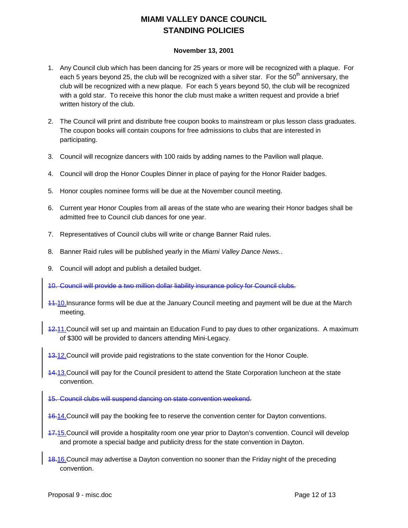## **MIAMI VALLEY DANCE COUNCIL STANDING POLICIES**

### **November 13, 2001**

- 1. Any Council club which has been dancing for 25 years or more will be recognized with a plaque. For each 5 years beyond 25, the club will be recognized with a silver star. For the  $50<sup>th</sup>$  anniversary, the club will be recognized with a new plaque. For each 5 years beyond 50, the club will be recognized with a gold star. To receive this honor the club must make a written request and provide a brief written history of the club.
- 2. The Council will print and distribute free coupon books to mainstream or plus lesson class graduates. The coupon books will contain coupons for free admissions to clubs that are interested in participating.
- 3. Council will recognize dancers with 100 raids by adding names to the Pavilion wall plaque.
- 4. Council will drop the Honor Couples Dinner in place of paying for the Honor Raider badges.
- 5. Honor couples nominee forms will be due at the November council meeting.
- 6. Current year Honor Couples from all areas of the state who are wearing their Honor badges shall be admitted free to Council club dances for one year.
- 7. Representatives of Council clubs will write or change Banner Raid rules.
- 8. Banner Raid rules will be published yearly in the *Miami Valley Dance News.*.
- 9. Council will adopt and publish a detailed budget.
- 10. Council will provide a two million dollar liability insurance policy for Council clubs.
- 11.10. Insurance forms will be due at the January Council meeting and payment will be due at the March meeting.
- 12.11. Council will set up and maintain an Education Fund to pay dues to other organizations. A maximum of \$300 will be provided to dancers attending Mini-Legacy.
- 13.12. Council will provide paid registrations to the state convention for the Honor Couple.
- 14.13.Council will pay for the Council president to attend the State Corporation luncheon at the state convention.
- 15. Council clubs will suspend dancing on state convention weekend.
- 16.14.Council will pay the booking fee to reserve the convention center for Dayton conventions.
- 17.15.Council will provide a hospitality room one year prior to Dayton's convention. Council will develop and promote a special badge and publicity dress for the state convention in Dayton.
- 18.16.Council may advertise a Dayton convention no sooner than the Friday night of the preceding convention.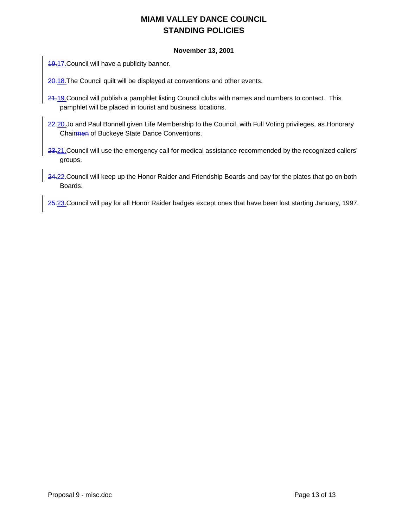## **MIAMI VALLEY DANCE COUNCIL STANDING POLICIES**

### **November 13, 2001**

**19.17. Council will have a publicity banner.** 

20.18. The Council quilt will be displayed at conventions and other events.

- 24.19. Council will publish a pamphlet listing Council clubs with names and numbers to contact. This pamphlet will be placed in tourist and business locations.
- 22.20.Jo and Paul Bonnell given Life Membership to the Council, with Full Voting privileges, as Honorary Chairmen of Buckeye State Dance Conventions.
- 23.21. Council will use the emergency call for medical assistance recommended by the recognized callers' groups.
- 24.22. Council will keep up the Honor Raider and Friendship Boards and pay for the plates that go on both Boards.

25.23. Council will pay for all Honor Raider badges except ones that have been lost starting January, 1997.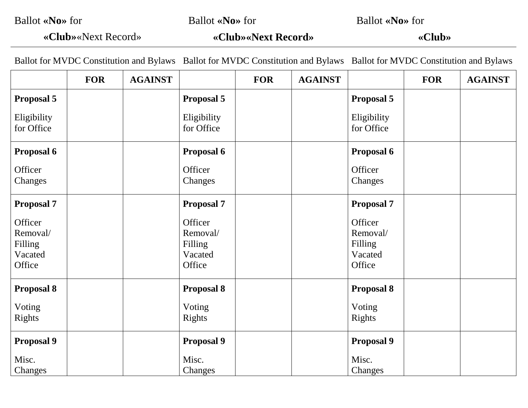Ballot **«No»** for

Ballot **«No»** for

Ballot **«No»** for

**«Club»**«Next Record»

**«Club»«Next Record»**

**«Club»**

Ballot for MVDC Constitution and Bylaws Ballot for MVDC Constitution and Bylaws Ballot for MVDC Constitution and Bylaws

|                                                     | <b>FOR</b> | <b>AGAINST</b> |                                                     | <b>FOR</b> | <b>AGAINST</b> |                                                     | <b>FOR</b> | <b>AGAINST</b> |
|-----------------------------------------------------|------------|----------------|-----------------------------------------------------|------------|----------------|-----------------------------------------------------|------------|----------------|
| <b>Proposal 5</b>                                   |            |                | Proposal 5                                          |            |                | <b>Proposal 5</b>                                   |            |                |
| Eligibility<br>for Office                           |            |                | Eligibility<br>for Office                           |            |                | Eligibility<br>for Office                           |            |                |
| <b>Proposal 6</b>                                   |            |                | <b>Proposal 6</b>                                   |            |                | <b>Proposal 6</b>                                   |            |                |
| Officer<br>Changes                                  |            |                | Officer<br>Changes                                  |            |                | Officer<br>Changes                                  |            |                |
| <b>Proposal 7</b>                                   |            |                | <b>Proposal 7</b>                                   |            |                | <b>Proposal 7</b>                                   |            |                |
| Officer<br>Removal/<br>Filling<br>Vacated<br>Office |            |                | Officer<br>Removal/<br>Filling<br>Vacated<br>Office |            |                | Officer<br>Removal/<br>Filling<br>Vacated<br>Office |            |                |
| <b>Proposal 8</b>                                   |            |                | <b>Proposal 8</b>                                   |            |                | <b>Proposal 8</b>                                   |            |                |
| Voting<br><b>Rights</b>                             |            |                | Voting<br>Rights                                    |            |                | Voting<br>Rights                                    |            |                |
| <b>Proposal 9</b>                                   |            |                | <b>Proposal 9</b>                                   |            |                | <b>Proposal 9</b>                                   |            |                |
| Misc.<br>Changes                                    |            |                | Misc.<br>Changes                                    |            |                | Misc.<br>Changes                                    |            |                |